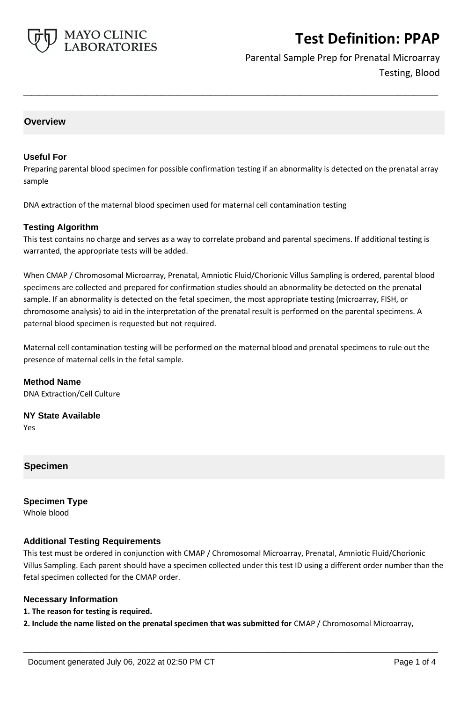

Parental Sample Prep for Prenatal Microarray Testing, Blood

## **Overview**

#### **Useful For**

Preparing parental blood specimen for possible confirmation testing if an abnormality is detected on the prenatal array sample

**\_\_\_\_\_\_\_\_\_\_\_\_\_\_\_\_\_\_\_\_\_\_\_\_\_\_\_\_\_\_\_\_\_\_\_\_\_\_\_\_\_\_\_\_\_\_\_\_\_\_\_**

DNA extraction of the maternal blood specimen used for maternal cell contamination testing

### **Testing Algorithm**

This test contains no charge and serves as a way to correlate proband and parental specimens. If additional testing is warranted, the appropriate tests will be added.

When CMAP / Chromosomal Microarray, Prenatal, Amniotic Fluid/Chorionic Villus Sampling is ordered, parental blood specimens are collected and prepared for confirmation studies should an abnormality be detected on the prenatal sample. If an abnormality is detected on the fetal specimen, the most appropriate testing (microarray, FISH, or chromosome analysis) to aid in the interpretation of the prenatal result is performed on the parental specimens. A paternal blood specimen is requested but not required.

Maternal cell contamination testing will be performed on the maternal blood and prenatal specimens to rule out the presence of maternal cells in the fetal sample.

**Method Name** DNA Extraction/Cell Culture

**NY State Available** Yes

### **Specimen**

**Specimen Type** Whole blood

### **Additional Testing Requirements**

This test must be ordered in conjunction with CMAP / Chromosomal Microarray, Prenatal, Amniotic Fluid/Chorionic Villus Sampling. Each parent should have a specimen collected under this test ID using a different order number than the fetal specimen collected for the CMAP order.

#### **Necessary Information**

**1. The reason for testing is required.**

**2. Include the name listed on the prenatal specimen that was submitted for** CMAP / Chromosomal Microarray,

**\_\_\_\_\_\_\_\_\_\_\_\_\_\_\_\_\_\_\_\_\_\_\_\_\_\_\_\_\_\_\_\_\_\_\_\_\_\_\_\_\_\_\_\_\_\_\_\_\_\_\_**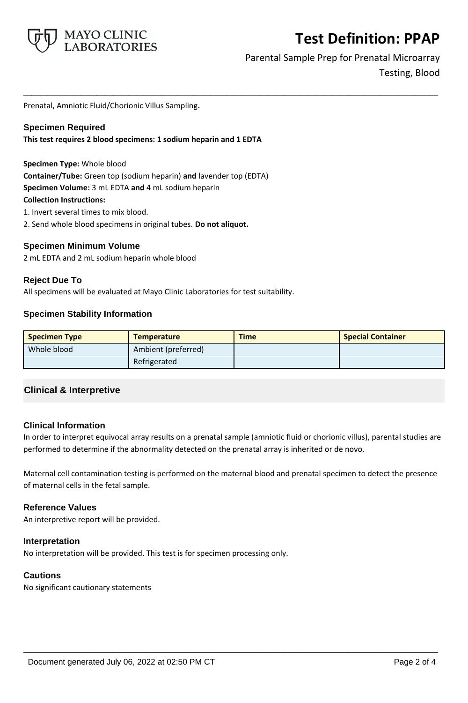

Parental Sample Prep for Prenatal Microarray Testing, Blood

Prenatal, Amniotic Fluid/Chorionic Villus Sampling**.**

#### **Specimen Required**

**This test requires 2 blood specimens: 1 sodium heparin and 1 EDTA**

#### **Specimen Type:** Whole blood

**Container/Tube:** Green top (sodium heparin) **and** lavender top (EDTA) **Specimen Volume:** 3 mL EDTA **and** 4 mL sodium heparin **Collection Instructions:**

1. Invert several times to mix blood.

2. Send whole blood specimens in original tubes. **Do not aliquot.**

#### **Specimen Minimum Volume**

2 mL EDTA and 2 mL sodium heparin whole blood

#### **Reject Due To**

All specimens will be evaluated at Mayo Clinic Laboratories for test suitability.

### **Specimen Stability Information**

| <b>Specimen Type</b> | <b>Temperature</b>  | <b>Time</b> | <b>Special Container</b> |
|----------------------|---------------------|-------------|--------------------------|
| Whole blood          | Ambient (preferred) |             |                          |
|                      | Refrigerated        |             |                          |

**\_\_\_\_\_\_\_\_\_\_\_\_\_\_\_\_\_\_\_\_\_\_\_\_\_\_\_\_\_\_\_\_\_\_\_\_\_\_\_\_\_\_\_\_\_\_\_\_\_\_\_**

## **Clinical & Interpretive**

### **Clinical Information**

In order to interpret equivocal array results on a prenatal sample (amniotic fluid or chorionic villus), parental studies are performed to determine if the abnormality detected on the prenatal array is inherited or de novo.

Maternal cell contamination testing is performed on the maternal blood and prenatal specimen to detect the presence of maternal cells in the fetal sample.

**\_\_\_\_\_\_\_\_\_\_\_\_\_\_\_\_\_\_\_\_\_\_\_\_\_\_\_\_\_\_\_\_\_\_\_\_\_\_\_\_\_\_\_\_\_\_\_\_\_\_\_**

### **Reference Values**

An interpretive report will be provided.

#### **Interpretation**

No interpretation will be provided. This test is for specimen processing only.

#### **Cautions**

No significant cautionary statements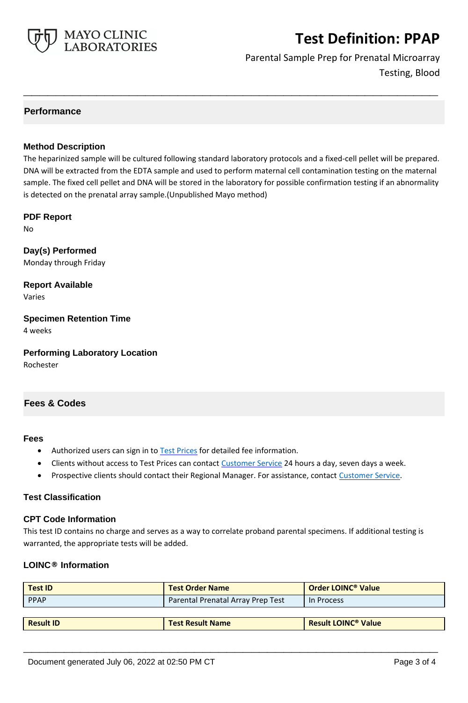

Parental Sample Prep for Prenatal Microarray Testing, Blood

## **Performance**

### **Method Description**

The heparinized sample will be cultured following standard laboratory protocols and a fixed-cell pellet will be prepared. DNA will be extracted from the EDTA sample and used to perform maternal cell contamination testing on the maternal sample. The fixed cell pellet and DNA will be stored in the laboratory for possible confirmation testing if an abnormality is detected on the prenatal array sample.(Unpublished Mayo method)

**\_\_\_\_\_\_\_\_\_\_\_\_\_\_\_\_\_\_\_\_\_\_\_\_\_\_\_\_\_\_\_\_\_\_\_\_\_\_\_\_\_\_\_\_\_\_\_\_\_\_\_**

#### **PDF Report**

No

**Day(s) Performed** Monday through Friday

**Report Available** Varies

**Specimen Retention Time** 4 weeks

**Performing Laboratory Location**

Rochester

## **Fees & Codes**

#### **Fees**

- Authorized users can sign in to [Test Prices](https://www.mayocliniclabs.com/customer-service/client-price-lookup/index.html?unit_code=PPAP) for detailed fee information.
- Clients without access to Test Prices can contact [Customer Service](http://www.mayocliniclabs.com/customer-service/contacts.html) 24 hours a day, seven days a week.
- Prospective clients should contact their Regional Manager. For assistance, contact [Customer Service.](http://www.mayocliniclabs.com/customer-service/contacts.html)

### **Test Classification**

#### **CPT Code Information**

This test ID contains no charge and serves as a way to correlate proband parental specimens. If additional testing is warranted, the appropriate tests will be added.

### **LOINC® Information**

| <b>Test ID</b>   | <b>Test Order Name</b>            | Order LOINC <sup>®</sup> Value        |
|------------------|-----------------------------------|---------------------------------------|
| <b>PPAP</b>      | Parental Prenatal Array Prep Test | In Process                            |
|                  |                                   |                                       |
| <b>Result ID</b> | <b>Test Result Name</b>           | <b>Result LOINC<sup>®</sup> Value</b> |

**\_\_\_\_\_\_\_\_\_\_\_\_\_\_\_\_\_\_\_\_\_\_\_\_\_\_\_\_\_\_\_\_\_\_\_\_\_\_\_\_\_\_\_\_\_\_\_\_\_\_\_**